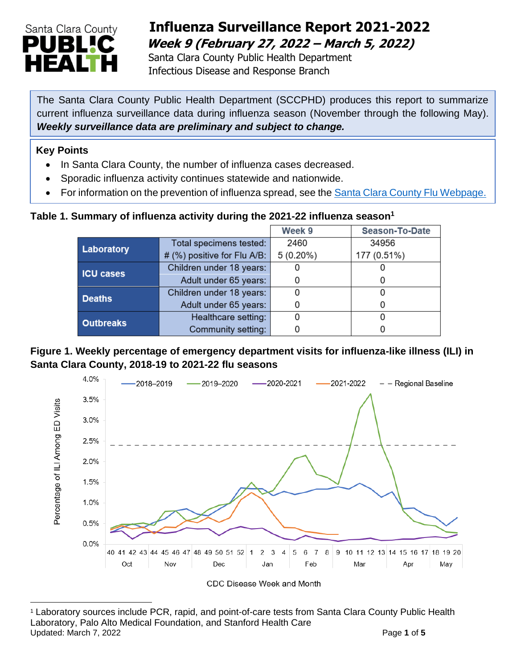

## **Influenza Surveillance Report 2021-2022 Week 9 (February 27, 2022 – March 5, 2022)**

 Santa Clara County Public Health Department Infectious Disease and Response Branch

The Santa Clara County Public Health Department (SCCPHD) produces this report to summarize current influenza surveillance data during influenza season (November through the following May). *Weekly surveillance data are preliminary and subject to change.*

#### **Key Points**

- In Santa Clara County, the number of influenza cases decreased.
- Sporadic influenza activity continues statewide and nationwide.
- For information on the prevention of influenza spread, see the [Santa Clara County Flu Webpage.](https://publichealth.sccgov.org/disease-information/influenza-flu)

### **Table 1. Summary of influenza activity during the 2021-22 influenza season<sup>1</sup>**

|                  |                             | Week 9      | <b>Season-To-Date</b> |  |
|------------------|-----------------------------|-------------|-----------------------|--|
| Laboratory       | Total specimens tested:     | 2460        | 34956                 |  |
|                  | # (%) positive for Flu A/B: | $5(0.20\%)$ | 177 (0.51%)           |  |
| <b>ICU cases</b> | Children under 18 years:    |             |                       |  |
|                  | Adult under 65 years:       |             |                       |  |
| <b>Deaths</b>    | Children under 18 years:    |             |                       |  |
|                  | Adult under 65 years:       |             |                       |  |
| <b>Outbreaks</b> | Healthcare setting:         |             |                       |  |
|                  | Community setting:          |             |                       |  |

**Figure 1. Weekly percentage of emergency department visits for influenza-like illness (ILI) in Santa Clara County, 2018-19 to 2021-22 flu seasons**



U pdated: March 7, 2022 Page **1** of **5**<sup>1</sup> Laboratory sources include PCR, rapid, and point-of-care tests from Santa Clara County Public Health Laboratory, Palo Alto Medical Foundation, and Stanford Health Care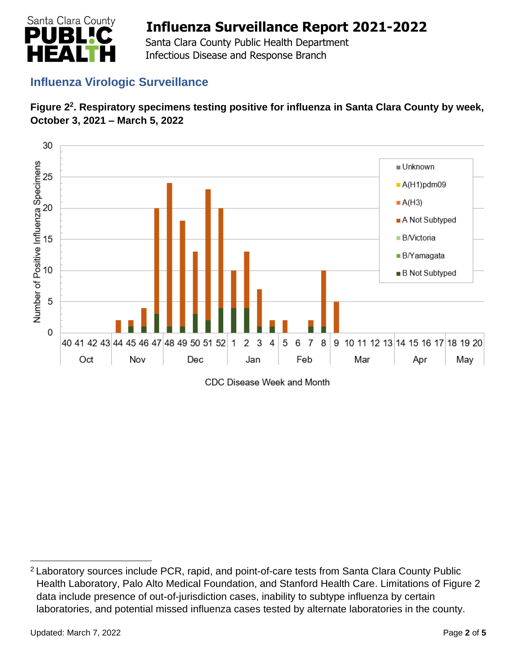

 Santa Clara County Public Health Department Infectious Disease and Response Branch

## **Influenza Virologic Surveillance**





CDC Disease Week and Month

<sup>2</sup> Laboratory sources include PCR, rapid, and point-of-care tests from Santa Clara County Public Health Laboratory, Palo Alto Medical Foundation, and Stanford Health Care. Limitations of Figure 2 data include presence of out-of-jurisdiction cases, inability to subtype influenza by certain laboratories, and potential missed influenza cases tested by alternate laboratories in the county.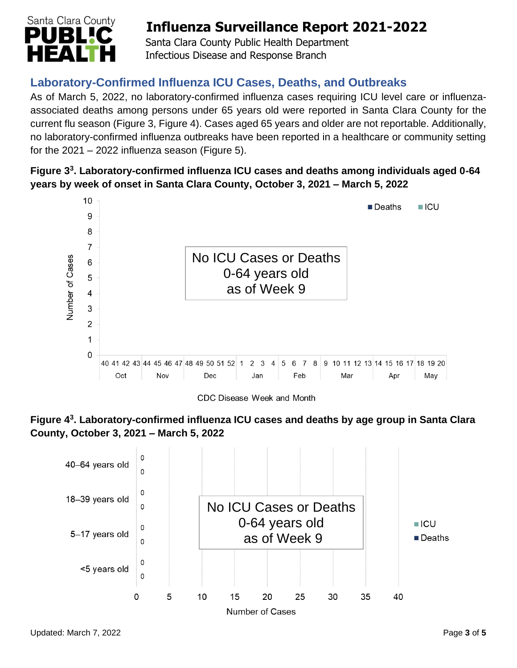

 Santa Clara County Public Health Department Infectious Disease and Response Branch

## **Laboratory-Confirmed Influenza ICU Cases, Deaths, and Outbreaks**

As of March 5, 2022, no laboratory-confirmed influenza cases requiring ICU level care or influenzaassociated deaths among persons under 65 years old were reported in Santa Clara County for the current flu season (Figure 3, Figure 4). Cases aged 65 years and older are not reportable. Additionally, no laboratory-confirmed influenza outbreaks have been reported in a healthcare or community setting for the  $2021 - 2022$  influenza season (Figure 5).

### **Figure 3 3 . Laboratory-confirmed influenza ICU cases and deaths among individuals aged 0-64 years by week of onset in Santa Clara County, October 3, 2021 – March 5, 2022**



CDC Disease Week and Month



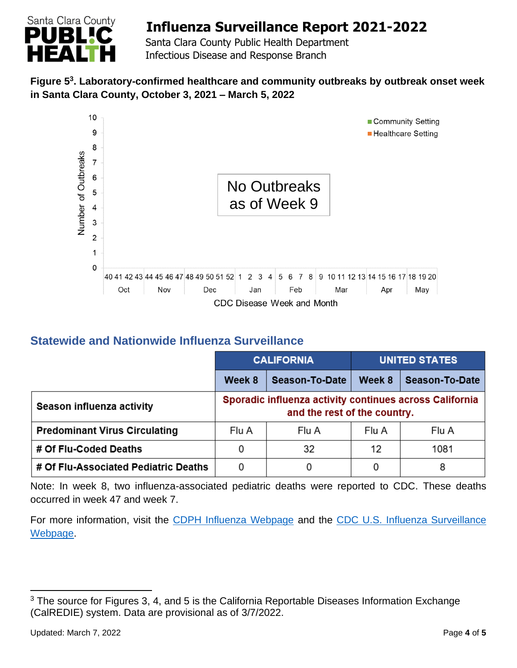

 Santa Clara County Public Health Department Infectious Disease and Response Branch

### **Figure 5 3 . Laboratory-confirmed healthcare and community outbreaks by outbreak onset week in Santa Clara County, October 3, 2021 – March 5, 2022**



## **Statewide and Nationwide Influenza Surveillance**

|                                      | <b>CALIFORNIA</b>                                                                       |                       | <b>UNITED STATES</b> |                |
|--------------------------------------|-----------------------------------------------------------------------------------------|-----------------------|----------------------|----------------|
|                                      | Week 8                                                                                  | <b>Season-To-Date</b> | Week 8               | Season-To-Date |
| Season influenza activity            | Sporadic influenza activity continues across California<br>and the rest of the country. |                       |                      |                |
| <b>Predominant Virus Circulating</b> | Flu A                                                                                   | Flu A                 | Flu A                | Flu A          |
| # Of Flu-Coded Deaths                | 0                                                                                       | 32                    | 12                   | 1081           |
| # Of Flu-Associated Pediatric Deaths | 0                                                                                       |                       | 0                    | 8              |

Note: In week 8, two influenza-associated pediatric deaths were reported to CDC. These deaths occurred in week 47 and week 7.

For more information, visit the [CDPH Influenza Webpage](http://www.cdph.ca.gov/Programs/CID/DCDC/Pages/Immunization/Influenza.aspx) and the [CDC U.S. Influenza Surveillance](http://www.cdc.gov/flu/weekly/)  [Webpage.](http://www.cdc.gov/flu/weekly/)

<sup>&</sup>lt;sup>3</sup> The source for Figures 3, 4, and 5 is the California Reportable Diseases Information Exchange (CalREDIE) system. Data are provisional as of 3/7/2022.